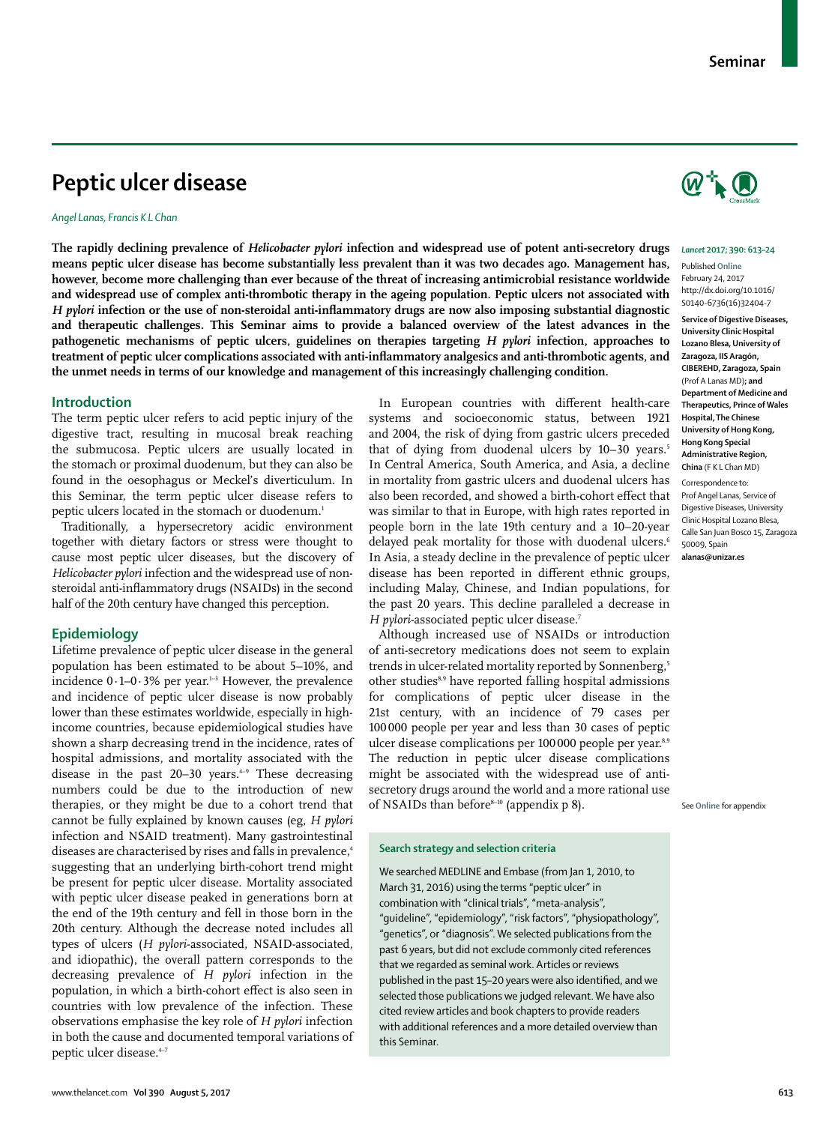# **Peptic ulcer disease**

# *Angel Lanas, Francis K L Chan*

**The rapidly declining prevalence of** *Helicobacter pylori* **infection and widespread use of potent anti-secretory drugs means peptic ulcer disease has become substantially less prevalent than it was two decades ago. Management has, however, become more challenging than ever because of the threat of increasing antimicrobial resistance worldwide and widespread use of complex anti-thrombotic therapy in the ageing population. Peptic ulcers not associated with**  *H pylori* **infection or the use of non-steroidal anti-inflammatory drugs are now also imposing substantial diagnostic and therapeutic challenges. This Seminar aims to provide a balanced overview of the latest advances in the pathogenetic mechanisms of peptic ulcers, guidelines on therapies targeting** *H pylori* **infection, approaches to treatment of peptic ulcer complications associated with anti-inflammatory analgesics and anti-thrombotic agents, and the unmet needs in terms of our knowledge and management of this increasingly challenging condition.**

# **Introduction**

The term peptic ulcer refers to acid peptic injury of the digestive tract, resulting in mucosal break reaching the submucosa. Peptic ulcers are usually located in the stomach or proximal duodenum, but they can also be found in the oesophagus or Meckel's diverticulum. In this Seminar, the term peptic ulcer disease refers to peptic ulcers located in the stomach or duodenum.<sup>1</sup>

Traditionally, a hypersecretory acidic environment together with dietary factors or stress were thought to cause most peptic ulcer diseases, but the discovery of *Helicobacter pylori* infection and the widespread use of nonsteroidal anti-inflammatory drugs (NSAIDs) in the second half of the 20th century have changed this perception.

# **Epidemiology**

Lifetime prevalence of peptic ulcer disease in the general population has been estimated to be about 5−10%, and incidence  $0.1-0.3\%$  per year.<sup>1-3</sup> However, the prevalence and incidence of peptic ulcer disease is now probably lower than these estimates worldwide, especially in highincome countries, because epidemiological studies have shown a sharp decreasing trend in the incidence, rates of hospital admissions, and mortality associated with the disease in the past 20–30 years.<sup> $+9$ </sup> These decreasing numbers could be due to the introduction of new therapies, or they might be due to a cohort trend that cannot be fully explained by known causes (eg, *H pylori* infection and NSAID treatment). Many gastrointestinal diseases are characterised by rises and falls in prevalence,<sup>4</sup> suggesting that an underlying birth-cohort trend might be present for peptic ulcer disease. Mortality associated with peptic ulcer disease peaked in generations born at the end of the 19th century and fell in those born in the 20th century. Although the decrease noted includes all types of ulcers (*H pylori*-associated, NSAID-associated, and idiopathic), the overall pattern corresponds to the decreasing prevalence of *H pylori* infection in the population, in which a birth-cohort effect is also seen in countries with low prevalence of the infection. These observations emphasise the key role of *H pylori* infection in both the cause and documented temporal variations of peptic ulcer disease.4−7

In European countries with different health-care systems and socioeconomic status, between 1921 and 2004, the risk of dying from gastric ulcers preceded that of dying from duodenal ulcers by 10−30 years.<sup>5</sup> In Central America, South America, and Asia, a decline in mortality from gastric ulcers and duodenal ulcers has also been recorded, and showed a birth-cohort effect that was similar to that in Europe, with high rates reported in people born in the late 19th century and a 10−20-year delayed peak mortality for those with duodenal ulcers.<sup>6</sup> In Asia, a steady decline in the prevalence of peptic ulcer disease has been reported in different ethnic groups, including Malay, Chinese, and Indian populations, for the past 20 years. This decline paralleled a decrease in *H pylori-associated peptic ulcer disease.<sup>7</sup>* 

Although increased use of NSAIDs or introduction of anti-secretory medications does not seem to explain trends in ulcer-related mortality reported by Sonnenberg,<sup>5</sup> other studies<sup>8,9</sup> have reported falling hospital admissions for complications of peptic ulcer disease in the 21st century, with an incidence of 79 cases per 100000 people per year and less than 30 cases of peptic ulcer disease complications per 100 000 people per year.<sup>8,9</sup> The reduction in peptic ulcer disease complications might be associated with the widespread use of antisecretory drugs around the world and a more rational use of NSAIDs than before $8-10$  (appendix p 8).

#### **Search strategy and selection criteria**

We searched MEDLINE and Embase (from Jan 1, 2010, to March 31, 2016) using the terms "peptic ulcer" in combination with "clinical trials", "meta-analysis", "guideline", "epidemiology", "risk factors", "physiopathology", "genetics", or "diagnosis". We selected publications from the past 6 years, but did not exclude commonly cited references that we regarded as seminal work. Articles or reviews published in the past 15–20 years were also identified, and we selected those publications we judged relevant. We have also cited review articles and book chapters to provide readers with additional references and a more detailed overview than this Seminar.



#### *Lancet* **2017; 390: 613–24**

Published **Online** February 24, 2017 http://dx.doi.org/10.1016/ S0140-6736(16)32404-7

**Service of Digestive Diseases, University Clinic Hospital Lozano Blesa, University of Zaragoza, IIS Aragón, CIBEREHD, Zaragoza, Spain** (Prof A Lanas MD)**; and Department of Medicine and Therapeutics, Prince of Wales Hospital, The Chinese University of Hong Kong, Hong Kong Special Administrative Region, China** (F K L Chan MD)

Correspondence to: Prof Angel Lanas, Service of Digestive Diseases, University Clinic Hospital Lozano Blesa, Calle San Juan Bosco 15, Zaragoza 50009, Spain **alanas@unizar.es** 

See **Online** for appendix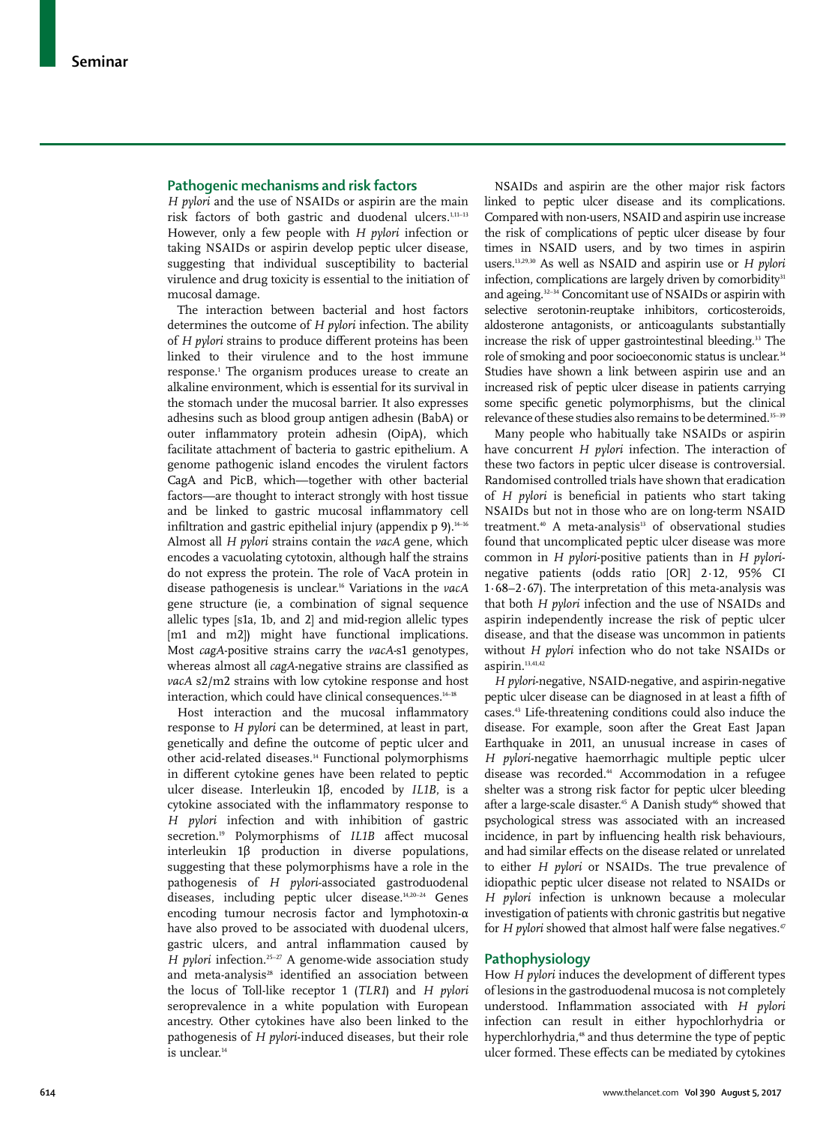# **Pathogenic mechanisms and risk factors**

*H pylori* and the use of NSAIDs or aspirin are the main risk factors of both gastric and duodenal ulcers.1,11−13 However, only a few people with *H pylori* infection or taking NSAIDs or aspirin develop peptic ulcer disease, suggesting that individual susceptibility to bacterial virulence and drug toxicity is essential to the initiation of mucosal damage.

The interaction between bacterial and host factors determines the outcome of *H pylori* infection. The ability of *H pylori* strains to produce different proteins has been linked to their virulence and to the host immune response.1 The organism produces urease to create an alkaline environment, which is essential for its survival in the stomach under the mucosal barrier. It also expresses adhesins such as blood group antigen adhesin (BabA) or outer inflammatory protein adhesin (OipA), which facilitate attachment of bacteria to gastric epithelium. A genome pathogenic island encodes the virulent factors CagA and PicB, which—together with other bacterial factors—are thought to interact strongly with host tissue and be linked to gastric mucosal inflammatory cell infiltration and gastric epithelial injury (appendix  $p$  9).<sup>14-16</sup> Almost all *H pylori* strains contain the *vacA* gene, which encodes a vacuolating cytotoxin, although half the strains do not express the protein. The role of VacA protein in disease pathogenesis is unclear.16 Variations in the *vacA*  gene structure (ie, a combination of signal sequence allelic types [s1a, 1b, and 2] and mid-region allelic types [m1 and m2]) might have functional implications. Most *cagA*-positive strains carry the *vacA-*s1 genotypes, whereas almost all *cagA*-negative strains are classified as *vacA* s2/m2 strains with low cytokine response and host interaction, which could have clinical consequences.<sup>14-18</sup>

Host interaction and the mucosal inflammatory response to *H pylori* can be determined, at least in part, genetically and define the outcome of peptic ulcer and other acid-related diseases.<sup>14</sup> Functional polymorphisms in different cytokine genes have been related to peptic ulcer disease. Interleukin 1β, encoded by *IL1B*, is a cytokine associated with the inflammatory response to *H pylori* infection and with inhibition of gastric secretion.19 Polymorphisms of *IL1B* affect mucosal interleukin 1β production in diverse populations, suggesting that these polymorphisms have a role in the pathogenesis of *H pylori*-associated gastroduodenal diseases, including peptic ulcer disease.14,20−24 Genes encoding tumour necrosis factor and lymphotoxin-α have also proved to be associated with duodenal ulcers, gastric ulcers, and antral inflammation caused by *H pylori* infection.<sup>25−27</sup> A genome-wide association study and meta-analysis<sup>28</sup> identified an association between the locus of Toll-like receptor 1 (*TLR1*) and *H pylori* seroprevalence in a white population with European ancestry. Other cytokines have also been linked to the pathogenesis of *H pylori*-induced diseases, but their role is unclear.<sup>14</sup>

NSAIDs and aspirin are the other major risk factors linked to peptic ulcer disease and its complications. Compared with non-users, NSAID and aspirin use increase the risk of complications of peptic ulcer disease by four times in NSAID users, and by two times in aspirin users.13,29,30 As well as NSAID and aspirin use or *H pylori* infection, complications are largely driven by comorbidity<sup>31</sup> and ageing.32−34 Concomitant use of NSAIDs or aspirin with selective serotonin-reuptake inhibitors, corticosteroids, aldosterone antagonists, or anticoagulants substantially increase the risk of upper gastrointestinal bleeding.<sup>33</sup> The role of smoking and poor socioeconomic status is unclear.<sup>34</sup> Studies have shown a link between aspirin use and an increased risk of peptic ulcer disease in patients carrying some specific genetic polymorphisms, but the clinical relevance of these studies also remains to be determined.<sup>35–39</sup>

Many people who habitually take NSAIDs or aspirin have concurrent *H pylori* infection. The interaction of these two factors in peptic ulcer disease is controversial. Randomised controlled trials have shown that eradication of *H pylori* is beneficial in patients who start taking NSAIDs but not in those who are on long-term NSAID treatment.<sup>40</sup> A meta-analysis<sup>13</sup> of observational studies found that uncomplicated peptic ulcer disease was more common in *H pylori*-positive patients than in *H pylori*negative patients (odds ratio [OR] 2·12, 95% CI 1·68−2·67). The interpretation of this meta-analysis was that both *H pylori* infection and the use of NSAIDs and aspirin independently increase the risk of peptic ulcer disease, and that the disease was uncommon in patients without *H pylori* infection who do not take NSAIDs or aspirin.<sup>13,41,42</sup>

*H pylori*-negative, NSAID-negative, and aspirin-negative peptic ulcer disease can be diagnosed in at least a fifth of cases.43 Life-threatening conditions could also induce the disease. For example, soon after the Great East Japan Earthquake in 2011, an unusual increase in cases of *H pylori*-negative haemorrhagic multiple peptic ulcer disease was recorded.<sup>44</sup> Accommodation in a refugee shelter was a strong risk factor for peptic ulcer bleeding after a large-scale disaster.<sup>45</sup> A Danish study<sup>46</sup> showed that psychological stress was associated with an increased incidence, in part by influencing health risk behaviours, and had similar effects on the disease related or unrelated to either *H pylori* or NSAIDs. The true prevalence of idiopathic peptic ulcer disease not related to NSAIDs or *H pylori* infection is unknown because a molecular investigation of patients with chronic gastritis but negative for *H* pylori showed that almost half were false negatives.<sup>47</sup>

# **Pathophysiology**

How *H pylori* induces the development of different types of lesions in the gastroduodenal mucosa is not completely understood. Inflammation associated with *H pylori*  infection can result in either hypochlorhydria or hyperchlorhydria, 48 and thus determine the type of peptic ulcer formed. These effects can be mediated by cytokines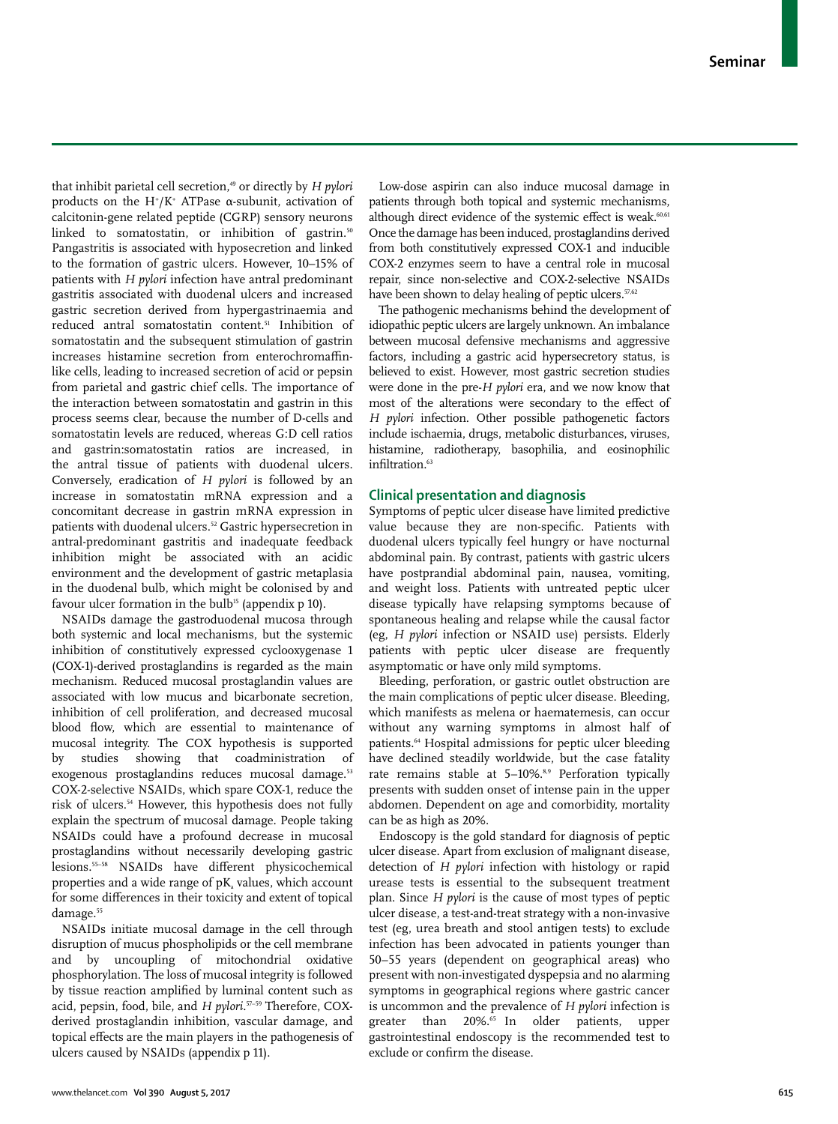that inhibit parietal cell secretion,<sup>49</sup> or directly by *H pylori* products on the H<sup>+</sup>/K<sup>+</sup> ATPase α-subunit, activation of calcitonin-gene related peptide (CGRP) sensory neurons linked to somatostatin, or inhibition of gastrin.<sup>50</sup> Pangastritis is associated with hyposecretion and linked to the formation of gastric ulcers. However, 10–15% of patients with *H pylori* infection have antral predominant gastritis associated with duodenal ulcers and increased gastric secretion derived from hypergastrinaemia and reduced antral somatostatin content.51 Inhibition of somatostatin and the subsequent stimulation of gastrin increases histamine secretion from enterochromaffinlike cells, leading to increased secretion of acid or pepsin from parietal and gastric chief cells. The importance of the interaction between somatostatin and gastrin in this process seems clear, because the number of D-cells and somatostatin levels are reduced, whereas G:D cell ratios and gastrin:somatostatin ratios are increased, in the antral tissue of patients with duodenal ulcers. Conversely, eradication of *H pylori* is followed by an increase in somatostatin mRNA expression and a concomitant decrease in gastrin mRNA expression in patients with duodenal ulcers.<sup>52</sup> Gastric hypersecretion in antral-predominant gastritis and inadequate feedback inhibition might be associated with an acidic environment and the development of gastric metaplasia in the duodenal bulb, which might be colonised by and favour ulcer formation in the bulb<sup>15</sup> (appendix  $p$  10).

NSAIDs damage the gastroduodenal mucosa through both systemic and local mechanisms, but the systemic inhibition of constitutively expressed cyclooxygenase 1 (COX-1)-derived prostaglandins is regarded as the main mechanism. Reduced mucosal prostaglandin values are associated with low mucus and bicarbonate secretion, inhibition of cell proliferation, and decreased mucosal blood flow, which are essential to maintenance of mucosal integrity. The COX hypothesis is supported by studies showing that coadministration of exogenous prostaglandins reduces mucosal damage.<sup>53</sup> COX-2-selective NSAIDs, which spare COX-1, reduce the risk of ulcers.54 However, this hypothesis does not fully explain the spectrum of mucosal damage. People taking NSAIDs could have a profound decrease in mucosal prostaglandins without necessarily developing gastric lesions.55−58 NSAIDs have different physicochemical properties and a wide range of  $pK_a$  values, which account for some differences in their toxicity and extent of topical damage.<sup>55</sup>

NSAIDs initiate mucosal damage in the cell through disruption of mucus phospholipids or the cell membrane and by uncoupling of mitochondrial oxidative phosphorylation. The loss of mucosal integrity is followed by tissue reaction amplified by luminal content such as acid, pepsin, food, bile, and *H pylori*. 57−59 Therefore, COXderived prostaglandin inhibition, vascular damage, and topical effects are the main players in the pathogenesis of ulcers caused by NSAIDs (appendix p 11).

Low-dose aspirin can also induce mucosal damage in patients through both topical and systemic mechanisms, although direct evidence of the systemic effect is weak.<sup>60,61</sup> Once the damage has been induced, prostaglandins derived from both constitutively expressed COX-1 and inducible COX-2 enzymes seem to have a central role in mucosal repair, since non-selective and COX-2-selective NSAIDs have been shown to delay healing of peptic ulcers.<sup>57,62</sup>

The pathogenic mechanisms behind the development of idiopathic peptic ulcers are largely unknown. An imbalance between mucosal defensive mechanisms and aggressive factors, including a gastric acid hypersecretory status, is believed to exist. However, most gastric secretion studies were done in the pre-*H pylori* era, and we now know that most of the alterations were secondary to the effect of *H pylori* infection. Other possible pathogenetic factors include ischaemia, drugs, metabolic disturbances, viruses, histamine, radiotherapy, basophilia, and eosinophilic infiltration.<sup>63</sup>

# **Clinical presentation and diagnosis**

Symptoms of peptic ulcer disease have limited predictive value because they are non-specific. Patients with duodenal ulcers typically feel hungry or have nocturnal abdominal pain. By contrast, patients with gastric ulcers have postprandial abdominal pain, nausea, vomiting, and weight loss. Patients with untreated peptic ulcer disease typically have relapsing symptoms because of spontaneous healing and relapse while the causal factor (eg, *H pylori* infection or NSAID use) persists. Elderly patients with peptic ulcer disease are frequently asymptomatic or have only mild symptoms.

Bleeding, perforation, or gastric outlet obstruction are the main complications of peptic ulcer disease. Bleeding, which manifests as melena or haematemesis, can occur without any warning symptoms in almost half of patients.<sup>64</sup> Hospital admissions for peptic ulcer bleeding have declined steadily worldwide, but the case fatality rate remains stable at 5-10%.<sup>8,9</sup> Perforation typically presents with sudden onset of intense pain in the upper abdomen. Dependent on age and comorbidity, mortality can be as high as 20%.

Endoscopy is the gold standard for diagnosis of peptic ulcer disease. Apart from exclusion of malignant disease, detection of *H pylori* infection with histology or rapid urease tests is essential to the subsequent treatment plan. Since *H pylori* is the cause of most types of peptic ulcer disease, a test-and-treat strategy with a non-invasive test (eg, urea breath and stool antigen tests) to exclude infection has been advocated in patients younger than 50−55 years (dependent on geographical areas) who present with non-investigated dyspepsia and no alarming symptoms in geographical regions where gastric cancer is uncommon and the prevalence of *H pylori* infection is greater than 20%.<sup>65</sup> In older patients, upper gastrointestinal endoscopy is the recommended test to exclude or confirm the disease.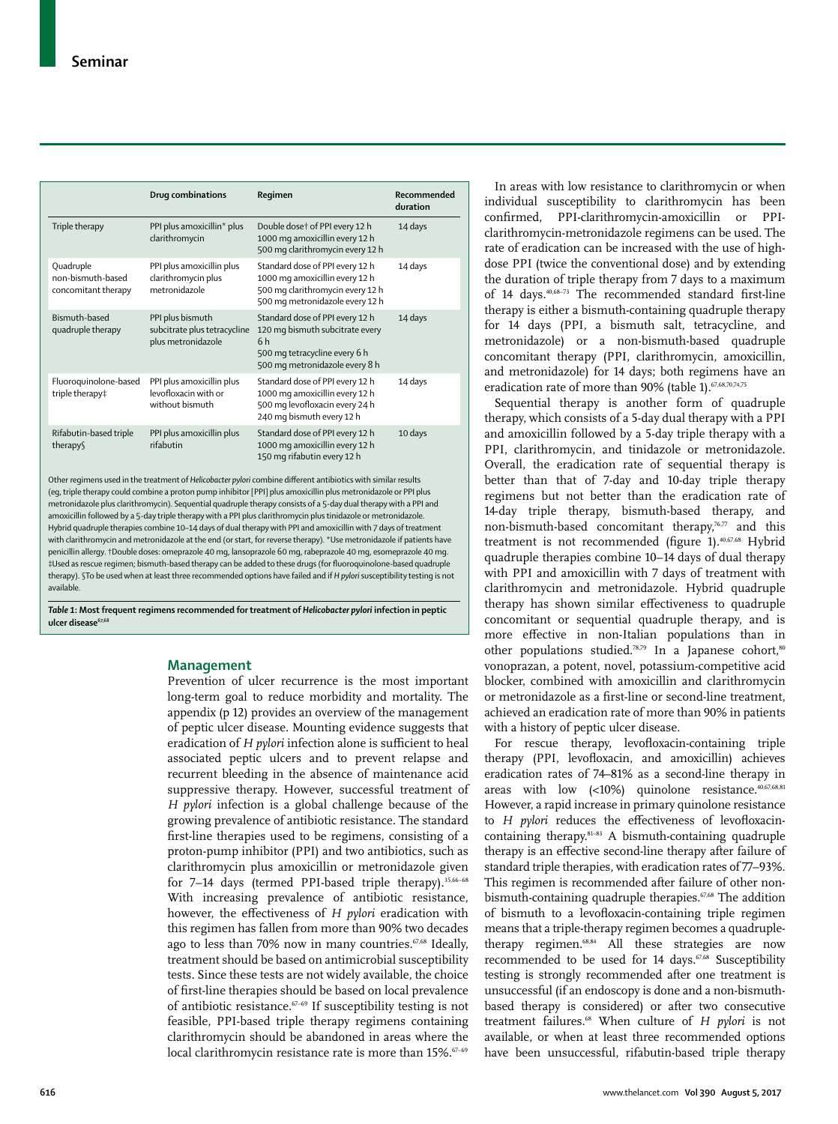|                                                       | Drug combinations                                                      | Regimen                                                                                                                                                 | Recommended<br>duration |
|-------------------------------------------------------|------------------------------------------------------------------------|---------------------------------------------------------------------------------------------------------------------------------------------------------|-------------------------|
| Triple therapy                                        | PPI plus amoxicillin* plus<br>clarithromycin                           | Double dose† of PPI every 12 h<br>1000 mg amoxicillin every 12 h<br>500 mg clarithromycin every 12 h                                                    | 14 days                 |
| Quadruple<br>non-bismuth-based<br>concomitant therapy | PPI plus amoxicillin plus<br>clarithromycin plus<br>metronidazole      | Standard dose of PPI every 12 h<br>1000 mg amoxicillin every 12 h<br>500 mg clarithromycin every 12 h<br>500 mg metronidazole every 12 h                | 14 days                 |
| Bismuth-based<br>quadruple therapy                    | PPI plus bismuth<br>subcitrate plus tetracycline<br>plus metronidazole | Standard dose of PPI every 12 h<br>120 mg bismuth subcitrate every<br>6 <sub>h</sub><br>500 mg tetracycline every 6 h<br>500 mg metronidazole every 8 h | 14 days                 |
| Fluoroquinolone-based<br>triple therapy‡              | PPI plus amoxicillin plus<br>levofloxacin with or<br>without bismuth   | Standard dose of PPI every 12 h<br>1000 mg amoxicillin every 12 h<br>500 mg levofloxacin every 24 h<br>240 mg bismuth every 12 h                        | 14 days                 |
| Rifabutin-based triple<br>therapy                     | PPI plus amoxicillin plus<br>rifabutin                                 | Standard dose of PPI every 12 h<br>1000 mg amoxicillin every 12 h<br>150 mg rifabutin every 12 h                                                        | 10 days                 |

Other regimens used in the treatment of *Helicobacter pylori* combine different antibiotics with similar results (eg, triple therapy could combine a proton pump inhibitor [PPI] plus amoxicillin plus metronidazole or PPI plus metronidazole plus clarithromycin). Sequential quadruple therapy consists of a 5-day dual therapy with a PPI and amoxicillin followed by a 5-day triple therapy with a PPI plus clarithromycin plus tinidazole or metronidazole. Hybrid quadruple therapies combine 10–14 days of dual therapy with PPI and amoxicillin with 7 days of treatment with clarithromycin and metronidazole at the end (or start, for reverse therapy). \*Use metronidazole if patients have penicillin allergy. †Double doses: omeprazole 40 mg, lansoprazole 60 mg, rabeprazole 40 mg, esomeprazole 40 mg. ‡Used as rescue regimen; bismuth-based therapy can be added to these drugs (for fluoroquinolone-based quadruple therapy). §To be used when at least three recommended options have failed and if *H pylori* susceptibility testing is not available.

*Table 1***: Most frequent regimens recommended for treatment of** *Helicobacter pylori* **infection in peptic**  ulcer disease<sup>67</sup>

# **Management**

Prevention of ulcer recurrence is the most important long-term goal to reduce morbidity and mortality. The appendix (p 12) provides an overview of the management of peptic ulcer disease. Mounting evidence suggests that eradication of *H pylori* infection alone is sufficient to heal associated peptic ulcers and to prevent relapse and recurrent bleeding in the absence of maintenance acid suppressive therapy. However, successful treatment of *H pylori* infection is a global challenge because of the growing prevalence of antibiotic resistance. The standard first-line therapies used to be regimens, consisting of a proton-pump inhibitor (PPI) and two antibiotics, such as clarithromycin plus amoxicillin or metronidazole given for 7−14 days (termed PPI-based triple therapy).35,66−68 With increasing prevalence of antibiotic resistance, however, the effectiveness of *H pylori* eradication with this regimen has fallen from more than 90% two decades ago to less than 70% now in many countries.<sup>67,68</sup> Ideally, treatment should be based on antimicrobial susceptibility tests. Since these tests are not widely available, the choice of first-line therapies should be based on local prevalence of antibiotic resistance.67−69 If susceptibility testing is not feasible, PPI-based triple therapy regimens containing clarithromycin should be abandoned in areas where the local clarithromycin resistance rate is more than 15%.<sup>67–69</sup>

In areas with low resistance to clarithromycin or when individual susceptibility to clarithromycin has been confirmed, PPI-clarithromycin-amoxicillin or PPIclarithromycin-metronidazole regimens can be used. The rate of eradication can be increased with the use of highdose PPI (twice the conventional dose) and by extending the duration of triple therapy from 7 days to a maximum of 14 days.40,68−73 The recommended standard first-line therapy is either a bismuth-containing quadruple therapy for 14 days (PPI, a bismuth salt, tetracycline, and metronidazole) or a non-bismuth-based quadruple concomitant therapy (PPI, clarithromycin, amoxicillin, and metronidazole) for 14 days; both regimens have an eradication rate of more than 90% (table 1).<sup>67,68,70,74,75</sup>

Sequential therapy is another form of quadruple therapy, which consists of a 5-day dual therapy with a PPI and amoxicillin followed by a 5-day triple therapy with a PPI, clarithromycin, and tinidazole or metronidazole. Overall, the eradication rate of sequential therapy is better than that of 7-day and 10-day triple therapy regimens but not better than the eradication rate of 14-day triple therapy, bismuth-based therapy, and non-bismuth-based concomitant therapy,<sup>76,77</sup> and this treatment is not recommended (figure 1).<sup>40,67,68</sup> Hybrid quadruple therapies combine 10−14 days of dual therapy with PPI and amoxicillin with 7 days of treatment with clarithromycin and metronidazole. Hybrid quadruple therapy has shown similar effectiveness to quadruple concomitant or sequential quadruple therapy, and is more effective in non-Italian populations than in other populations studied.<sup>78,79</sup> In a Japanese cohort,<sup>80</sup> vonoprazan, a potent, novel, potassium-competitive acid blocker, combined with amoxicillin and clarithromycin or metronidazole as a first-line or second-line treatment, achieved an eradication rate of more than 90% in patients with a history of peptic ulcer disease.

For rescue therapy, levofloxacin-containing triple therapy (PPI, levofloxacin, and amoxicillin) achieves eradication rates of 74–81% as a second-line therapy in areas with low (<10%) quinolone resistance.<sup>40,67,68,81</sup> However, a rapid increase in primary quinolone resistance to *H pylori* reduces the effectiveness of levofloxacincontaining therapy.81–83 A bismuth-containing quadruple therapy is an effective second-line therapy after failure of standard triple therapies, with eradication rates of 77–93%. This regimen is recommended after failure of other nonbismuth-containing quadruple therapies.<sup>67,68</sup> The addition of bismuth to a levofloxacin-containing triple regimen means that a triple-therapy regimen becomes a quadrupletherapy regimen.<sup>68,84</sup> All these strategies are now recommended to be used for 14 days.<sup>67,68</sup> Susceptibility testing is strongly recommended after one treatment is unsuccessful (if an endoscopy is done and a non-bismuthbased therapy is considered) or after two consecutive treatment failures.68 When culture of *H pylori* is not available, or when at least three recommended options have been unsuccessful, rifabutin-based triple therapy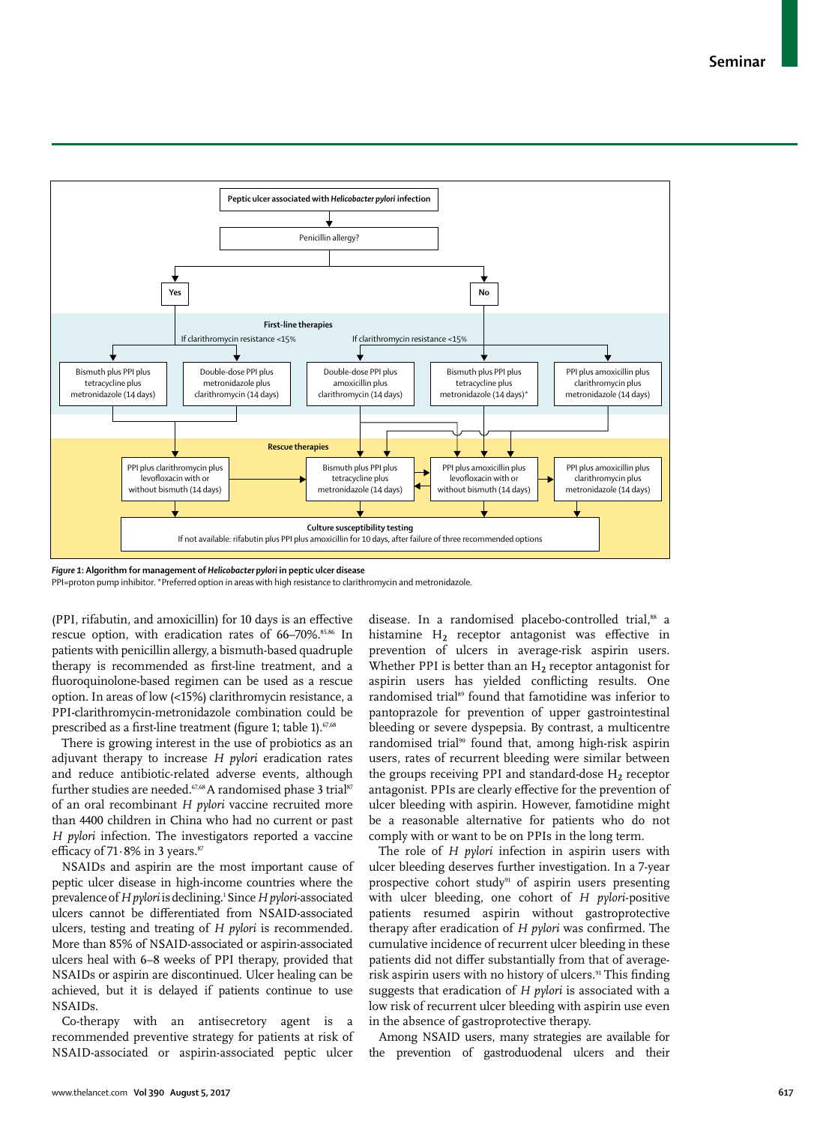**Seminar**



*Figure 1***: Algorithm for management of** *Helicobacter pylori* **in peptic ulcer disease**

PPI=proton pump inhibitor. \*Preferred option in areas with high resistance to clarithromycin and metronidazole.

(PPI, rifabutin, and amoxicillin) for 10 days is an effective rescue option, with eradication rates of 66-70%.<sup>85,86</sup> In patients with penicillin allergy, a bismuth-based quadruple therapy is recommended as first-line treatment, and a fluoroquinolone-based regimen can be used as a rescue option. In areas of low (<15%) clarithromycin resistance, a PPI-clarithromycin-metronidazole combination could be prescribed as a first-line treatment (figure 1; table 1).<sup>67,68</sup>

There is growing interest in the use of probiotics as an adjuvant therapy to increase *H pylori* eradication rates and reduce antibiotic-related adverse events, although further studies are needed.<sup>67,68</sup> A randomised phase 3 trial<sup>87</sup> of an oral recombinant *H pylori* vaccine recruited more than 4400 children in China who had no current or past *H pylori* infection. The investigators reported a vaccine efficacy of  $71.8\%$  in 3 years.<sup>87</sup>

NSAIDs and aspirin are the most important cause of peptic ulcer disease in high-income countries where the prevalence of *H pylori* is declining.<sup>1</sup> Since *H pylori*-associated ulcers cannot be differentiated from NSAID-associated ulcers, testing and treating of *H pylori* is recommended. More than 85% of NSAID-associated or aspirin-associated ulcers heal with 6−8 weeks of PPI therapy, provided that NSAIDs or aspirin are discontinued. Ulcer healing can be achieved, but it is delayed if patients continue to use NSAIDs.

Co-therapy with an antisecretory agent is a recommended preventive strategy for patients at risk of NSAID-associated or aspirin-associated peptic ulcer disease. In a randomised placebo-controlled trial,<sup>88</sup> a histamine H<sub>2</sub> receptor antagonist was effective in prevention of ulcers in average-risk aspirin users. Whether PPI is better than an  $H_2$  receptor antagonist for aspirin users has yielded conflicting results. One randomised trial<sup>89</sup> found that famotidine was inferior to pantoprazole for prevention of upper gastrointestinal bleeding or severe dyspepsia. By contrast, a multicentre randomised trial<sup>90</sup> found that, among high-risk aspirin users, rates of recurrent bleeding were similar between the groups receiving PPI and standard-dose  $H_2$  receptor antagonist. PPIs are clearly effective for the prevention of ulcer bleeding with aspirin. However, famotidine might be a reasonable alternative for patients who do not comply with or want to be on PPIs in the long term.

The role of *H pylori* infection in aspirin users with ulcer bleeding deserves further investigation. In a 7-year prospective cohort study<sup>91</sup> of aspirin users presenting with ulcer bleeding, one cohort of *H pylori*-positive patients resumed aspirin without gastroprotective therapy after eradication of *H pylori* was confirmed. The cumulative incidence of recurrent ulcer bleeding in these patients did not differ substantially from that of averagerisk aspirin users with no history of ulcers.<sup>91</sup> This finding suggests that eradication of *H pylori* is associated with a low risk of recurrent ulcer bleeding with aspirin use even in the absence of gastroprotective therapy.

Among NSAID users, many strategies are available for the prevention of gastroduodenal ulcers and their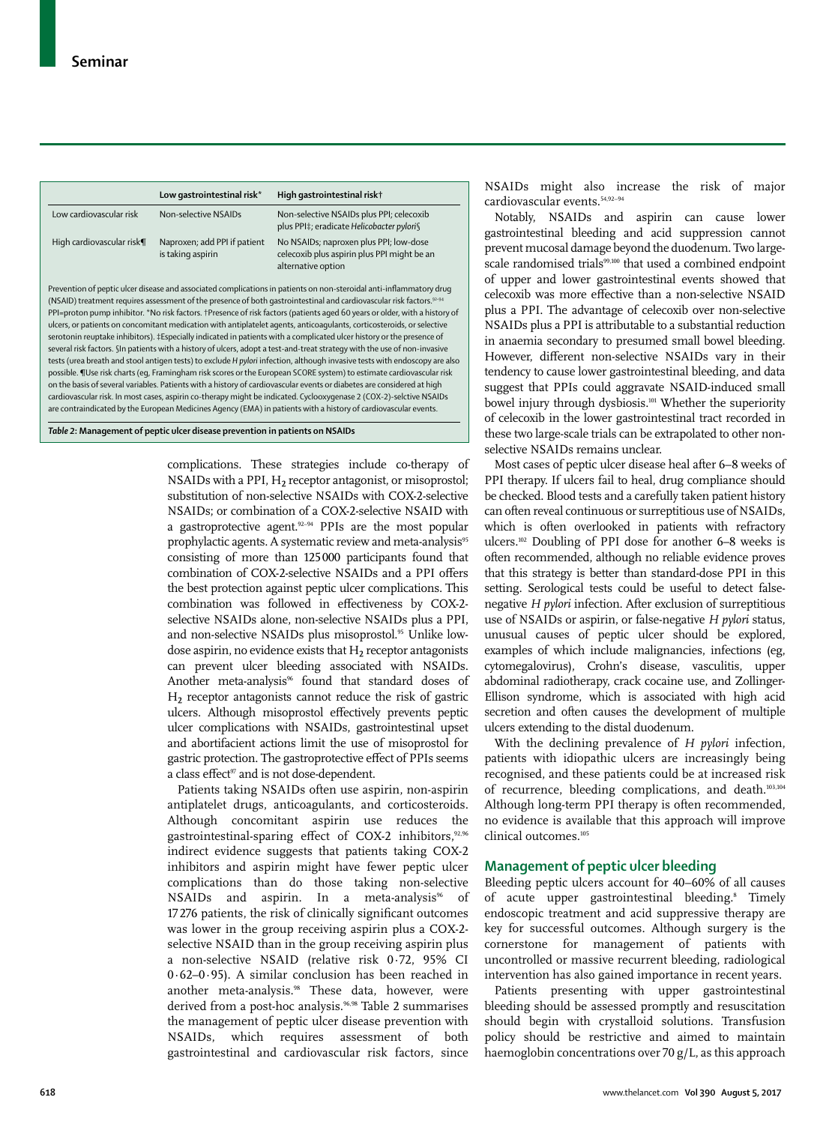|                           | Low gastrointestinal risk*                        | High gastrointestinal risk†                                                                                 |
|---------------------------|---------------------------------------------------|-------------------------------------------------------------------------------------------------------------|
| Low cardiovascular risk   | Non-selective NSAIDs                              | Non-selective NSAIDs plus PPI; celecoxib<br>plus PPI‡; eradicate Helicobacter pylori§                       |
| High cardiovascular risk¶ | Naproxen; add PPI if patient<br>is taking aspirin | No NSAIDs; naproxen plus PPI; low-dose<br>celecoxib plus aspirin plus PPI might be an<br>alternative option |

Prevention of peptic ulcer disease and associated complications in patients on non-steroidal anti-inflammatory drug (NSAID) treatment requires assessment of the presence of both gastrointestinal and cardiovascular risk factors.92–94 PPI=proton pump inhibitor. \*No risk factors. †Presence of risk factors (patients aged 60 years or older, with a history of ulcers, or patients on concomitant medication with antiplatelet agents, anticoagulants, corticosteroids, or selective serotonin reuptake inhibitors). ‡Especially indicated in patients with a complicated ulcer history or the presence of several risk factors. §In patients with a history of ulcers, adopt a test-and-treat strategy with the use of non-invasive tests (urea breath and stool antigen tests) to exclude *H pylori* infection, although invasive tests with endoscopy are also possible. ¶Use risk charts (eg, Framingham risk scores or the European SCORE system) to estimate cardiovascular risk on the basis of several variables. Patients with a history of cardiovascular events or diabetes are considered at high cardiovascular risk. In most cases, aspirin co-therapy might be indicated. Cyclooxygenase 2 (COX-2)-selctive NSAIDs are contraindicated by the European Medicines Agency (EMA) in patients with a history of cardiovascular events.

*Table 2***: Management of peptic ulcer disease prevention in patients on NSAIDs**

complications. These strategies include co-therapy of NSAIDs with a PPI,  $H_2$  receptor antagonist, or misoprostol; substitution of non-selective NSAIDs with COX-2-selective NSAIDs; or combination of a COX-2-selective NSAID with a gastroprotective agent.92−94 PPIs are the most popular prophylactic agents. A systematic review and meta-analysis<sup>95</sup> consisting of more than 125000 participants found that combination of COX-2-selective NSAIDs and a PPI offers the best protection against peptic ulcer complications. This combination was followed in effectiveness by COX-2 selective NSAIDs alone, non-selective NSAIDs plus a PPI, and non-selective NSAIDs plus misoprostol.<sup>95</sup> Unlike lowdose aspirin, no evidence exists that  $H_2$  receptor antagonists can prevent ulcer bleeding associated with NSAIDs. Another meta-analysis<sup>96</sup> found that standard doses of  $H<sub>2</sub>$  receptor antagonists cannot reduce the risk of gastric ulcers. Although misoprostol effectively prevents peptic ulcer complications with NSAIDs, gastrointestinal upset and abortifacient actions limit the use of misoprostol for gastric protection. The gastroprotective effect of PPIs seems a class effect<sup>97</sup> and is not dose-dependent.

Patients taking NSAIDs often use aspirin, non-aspirin antiplatelet drugs, anticoagulants, and corticosteroids. Although concomitant aspirin use reduces the gastrointestinal-sparing effect of COX-2 inhibitors,<sup>92,96</sup> indirect evidence suggests that patients taking COX-2 inhibitors and aspirin might have fewer peptic ulcer complications than do those taking non-selective NSAIDs and aspirin. In a meta-analysis<sup>96</sup> of 17276 patients, the risk of clinically significant outcomes was lower in the group receiving aspirin plus a COX-2 selective NSAID than in the group receiving aspirin plus a non-selective NSAID (relative risk 0·72, 95% CI 0·62–0·95). A similar conclusion has been reached in another meta-analysis.<sup>98</sup> These data, however, were derived from a post-hoc analysis.<sup>96,98</sup> Table 2 summarises the management of peptic ulcer disease prevention with NSAIDs, which requires assessment of both gastrointestinal and cardiovascular risk factors, since NSAIDs might also increase the risk of major cardiovascular events.54,92−94

Notably, NSAIDs and aspirin can cause lower gastrointestinal bleeding and acid suppression cannot prevent mucosal damage beyond the duodenum. Two largescale randomised trials<sup>99,100</sup> that used a combined endpoint of upper and lower gastrointestinal events showed that celecoxib was more effective than a non-selective NSAID plus a PPI. The advantage of celecoxib over non-selective NSAIDs plus a PPI is attributable to a substantial reduction in anaemia secondary to presumed small bowel bleeding. However, different non-selective NSAIDs vary in their tendency to cause lower gastrointestinal bleeding, and data suggest that PPIs could aggravate NSAID-induced small bowel injury through dysbiosis.<sup>101</sup> Whether the superiority of celecoxib in the lower gastrointestinal tract recorded in these two large-scale trials can be extrapolated to other nonselective NSAIDs remains unclear.

Most cases of peptic ulcer disease heal after 6−8 weeks of PPI therapy. If ulcers fail to heal, drug compliance should be checked. Blood tests and a carefully taken patient history can often reveal continuous or surreptitious use of NSAIDs, which is often overlooked in patients with refractory ulcers.102 Doubling of PPI dose for another 6–8 weeks is often recommended, although no reliable evidence proves that this strategy is better than standard-dose PPI in this setting. Serological tests could be useful to detect falsenegative *H pylori* infection. After exclusion of surreptitious use of NSAIDs or aspirin, or false-negative *H pylori* status, unusual causes of peptic ulcer should be explored, examples of which include malignancies, infections (eg, cytomegalovirus), Crohn's disease, vasculitis, upper abdominal radiotherapy, crack cocaine use, and Zollinger-Ellison syndrome, which is associated with high acid secretion and often causes the development of multiple ulcers extending to the distal duodenum.

With the declining prevalence of *H pylori* infection, patients with idiopathic ulcers are increasingly being recognised, and these patients could be at increased risk of recurrence, bleeding complications, and death.103,104 Although long-term PPI therapy is often recommended, no evidence is available that this approach will improve clinical outcomes.105

# **Management of peptic ulcer bleeding**

Bleeding peptic ulcers account for 40−60% of all causes of acute upper gastrointestinal bleeding.<sup>8</sup> Timely endoscopic treatment and acid suppressive therapy are key for successful outcomes. Although surgery is the cornerstone for management of patients with uncontrolled or massive recurrent bleeding, radiological intervention has also gained importance in recent years.

Patients presenting with upper gastrointestinal bleeding should be assessed promptly and resuscitation should begin with crystalloid solutions. Transfusion policy should be restrictive and aimed to maintain haemoglobin concentrations over 70 g/L, as this approach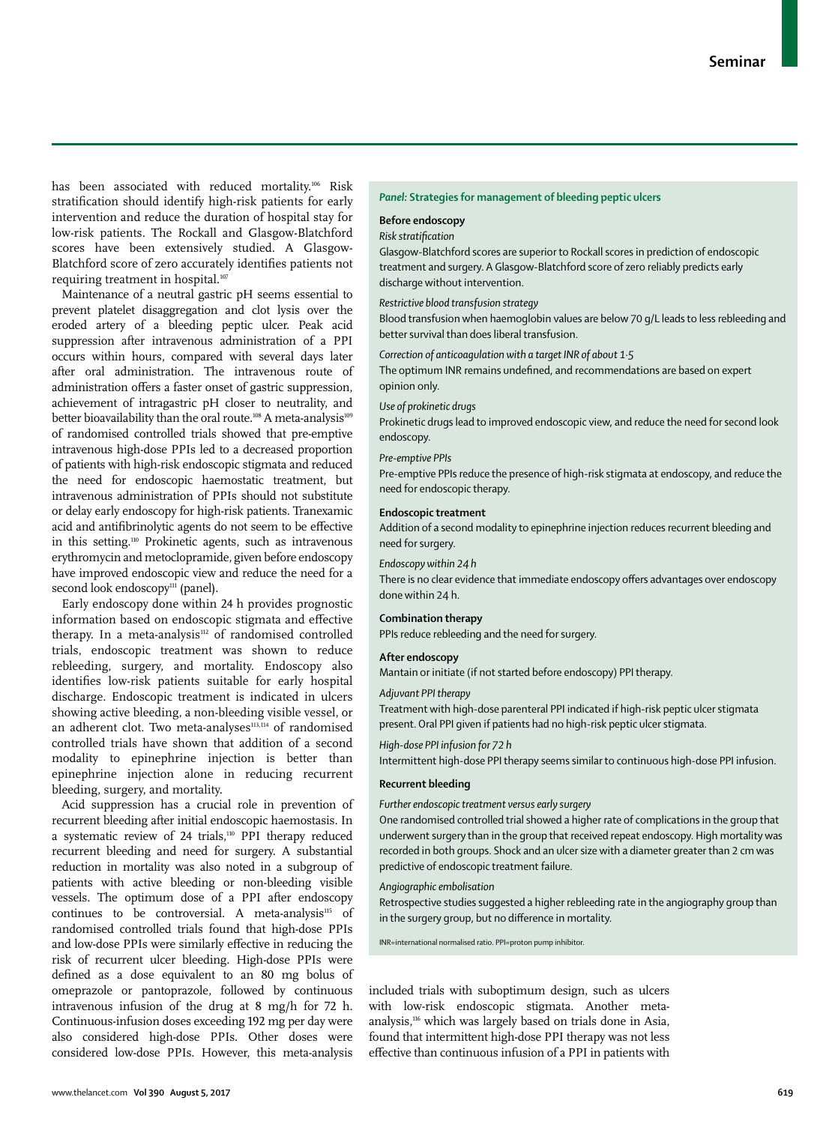has been associated with reduced mortality.<sup>106</sup> Risk stratification should identify high-risk patients for early intervention and reduce the duration of hospital stay for low-risk patients. The Rockall and Glasgow-Blatchford scores have been extensively studied. A Glasgow-Blatchford score of zero accurately identifies patients not requiring treatment in hospital.<sup>107</sup>

Maintenance of a neutral gastric pH seems essential to prevent platelet disaggregation and clot lysis over the eroded artery of a bleeding peptic ulcer. Peak acid suppression after intravenous administration of a PPI occurs within hours, compared with several days later after oral administration. The intravenous route of administration offers a faster onset of gastric suppression, achievement of intragastric pH closer to neutrality, and better bioavailability than the oral route.<sup>108</sup> A meta-analysis<sup>109</sup> of randomised controlled trials showed that pre-emptive intravenous high-dose PPIs led to a decreased proportion of patients with high-risk endoscopic stigmata and reduced the need for endoscopic haemostatic treatment, but intravenous administration of PPIs should not substitute or delay early endoscopy for high-risk patients. Tranexamic acid and antifibrinolytic agents do not seem to be effective in this setting.110 Prokinetic agents, such as intravenous erythromycin and metoclopramide, given before endoscopy have improved endoscopic view and reduce the need for a second look endoscopy<sup>111</sup> (panel).

Early endoscopy done within 24 h provides prognostic information based on endoscopic stigmata and effective therapy. In a meta-analysis<sup>112</sup> of randomised controlled trials, endoscopic treatment was shown to reduce rebleeding, surgery, and mortality. Endoscopy also identifies low-risk patients suitable for early hospital discharge. Endoscopic treatment is indicated in ulcers showing active bleeding, a non-bleeding visible vessel, or an adherent clot. Two meta-analyses<sup>113,114</sup> of randomised controlled trials have shown that addition of a second modality to epinephrine injection is better than epinephrine injection alone in reducing recurrent bleeding, surgery, and mortality.

Acid suppression has a crucial role in prevention of recurrent bleeding after initial endoscopic haemostasis. In a systematic review of 24 trials,110 PPI therapy reduced recurrent bleeding and need for surgery. A substantial reduction in mortality was also noted in a subgroup of patients with active bleeding or non-bleeding visible vessels. The optimum dose of a PPI after endoscopy continues to be controversial. A meta-analysis<sup>115</sup> of randomised controlled trials found that high-dose PPIs and low-dose PPIs were similarly effective in reducing the risk of recurrent ulcer bleeding. High-dose PPIs were defined as a dose equivalent to an 80 mg bolus of omeprazole or pantoprazole, followed by continuous intravenous infusion of the drug at 8 mg/h for 72 h. Continuous-infusion doses exceeding 192 mg per day were also considered high-dose PPIs. Other doses were considered low-dose PPIs. However, this meta-analysis

## *Panel:* **Strategies for management of bleeding peptic ulcers**

# **Before endoscopy**

#### *Risk stratification*

Glasgow-Blatchford scores are superior to Rockall scores in prediction of endoscopic treatment and surgery. A Glasgow-Blatchford score of zero reliably predicts early discharge without intervention.

#### *Restrictive blood transfusion strategy*

Blood transfusion when haemoglobin values are below 70 g/L leads to less rebleeding and better survival than does liberal transfusion.

*Correction of anticoagulation with a target INR of about 1·5* The optimum INR remains undefined, and recommendations are based on expert opinion only.

#### *Use of prokinetic drugs*

Prokinetic drugs lead to improved endoscopic view, and reduce the need for second look endoscopy.

#### *Pre-emptive PPIs*

Pre-emptive PPIs reduce the presence of high-risk stigmata at endoscopy, and reduce the need for endoscopic therapy.

## **Endoscopic treatment**

Addition of a second modality to epinephrine injection reduces recurrent bleeding and need for surgery.

#### *Endoscopy within 24 h*

There is no clear evidence that immediate endoscopy offers advantages over endoscopy done within 24 h.

# **Combination therapy**

PPIs reduce rebleeding and the need for surgery.

# **After endoscopy**

Mantain or initiate (if not started before endoscopy) PPI therapy.

#### *Adjuvant PPI therapy*

Treatment with high-dose parenteral PPI indicated if high-risk peptic ulcer stigmata present. Oral PPI given if patients had no high-risk peptic ulcer stigmata.

#### *High-dose PPI infusion for 72 h*

Intermittent high-dose PPI therapy seems similar to continuous high-dose PPI infusion.

## **Recurrent bleeding**

# *Further endoscopic treatment versus early surgery*

One randomised controlled trial showed a higher rate of complications in the group that underwent surgery than in the group that received repeat endoscopy. High mortality was recorded in both groups. Shock and an ulcer size with a diameter greater than 2 cm was predictive of endoscopic treatment failure.

# *Angiographic embolisation*

Retrospective studies suggested a higher rebleeding rate in the angiography group than in the surgery group, but no difference in mortality.

INR=international normalised ratio. PPI=proton pump inhibitor.

included trials with suboptimum design, such as ulcers with low-risk endoscopic stigmata. Another metaanalysis,116 which was largely based on trials done in Asia, found that intermittent high-dose PPI therapy was not less effective than continuous infusion of a PPI in patients with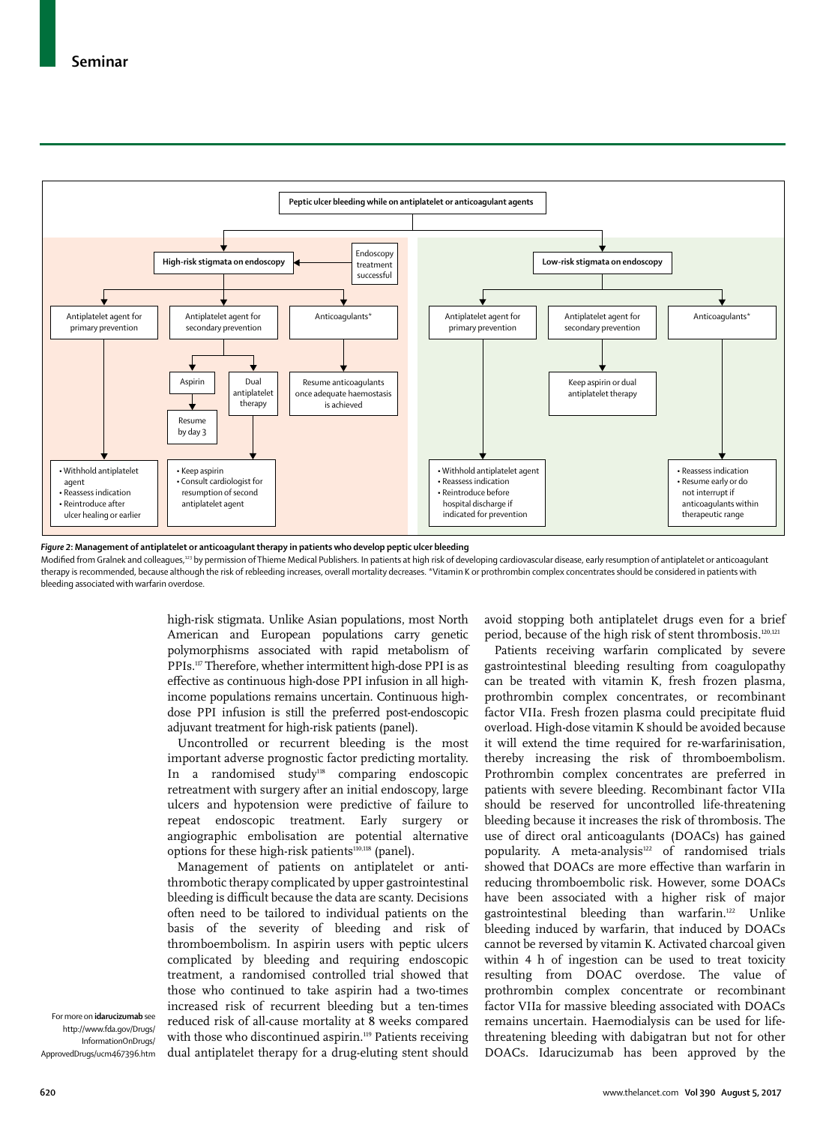

*Figure 2***: Management of antiplatelet or anticoagulant therapy in patients who develop peptic ulcer bleeding**

Modified from Gralnek and colleagues,<sup>123</sup> by permission of Thieme Medical Publishers. In patients at high risk of developing cardiovascular disease, early resumption of antiplatelet or anticoagulant therapy is recommended, because although the risk of rebleeding increases, overall mortality decreases. \*Vitamin K or prothrombin complex concentrates should be considered in patients with bleeding associated with warfarin overdose.

> high-risk stigmata. Unlike Asian populations, most North American and European populations carry genetic polymorphisms associated with rapid metabolism of PPIs.117 Therefore, whether intermittent high-dose PPI is as effective as continuous high-dose PPI infusion in all highincome populations remains uncertain. Continuous highdose PPI infusion is still the preferred post-endoscopic adjuvant treatment for high-risk patients (panel).

> Uncontrolled or recurrent bleeding is the most important adverse prognostic factor predicting mortality. In a randomised study<sup>118</sup> comparing endoscopic retreatment with surgery after an initial endoscopy, large ulcers and hypotension were predictive of failure to repeat endoscopic treatment. Early surgery or angiographic embolisation are potential alternative options for these high-risk patients<sup>110,118</sup> (panel).

> Management of patients on antiplatelet or antithrombotic therapy complicated by upper gastrointestinal bleeding is difficult because the data are scanty. Decisions often need to be tailored to individual patients on the basis of the severity of bleeding and risk of thromboembolism. In aspirin users with peptic ulcers complicated by bleeding and requiring endoscopic treatment, a randomised controlled trial showed that those who continued to take aspirin had a two-times increased risk of recurrent bleeding but a ten-times reduced risk of all-cause mortality at 8 weeks compared with those who discontinued aspirin.<sup>119</sup> Patients receiving dual antiplatelet therapy for a drug-eluting stent should

avoid stopping both antiplatelet drugs even for a brief period, because of the high risk of stent thrombosis.<sup>120,121</sup>

Patients receiving warfarin complicated by severe gastrointestinal bleeding resulting from coagulopathy can be treated with vitamin K, fresh frozen plasma, prothrombin complex concentrates, or recombinant factor VIIa. Fresh frozen plasma could precipitate fluid overload. High-dose vitamin K should be avoided because it will extend the time required for re-warfarinisation, thereby increasing the risk of thromboembolism. Prothrombin complex concentrates are preferred in patients with severe bleeding. Recombinant factor VIIa should be reserved for uncontrolled life-threatening bleeding because it increases the risk of thrombosis. The use of direct oral anticoagulants (DOACs) has gained popularity. A meta-analysis<sup>122</sup> of randomised trials showed that DOACs are more effective than warfarin in reducing thromboembolic risk. However, some DOACs have been associated with a higher risk of major gastrointestinal bleeding than warfarin.<sup>122</sup> Unlike bleeding induced by warfarin, that induced by DOACs cannot be reversed by vitamin K. Activated charcoal given within 4 h of ingestion can be used to treat toxicity resulting from DOAC overdose. The value of prothrombin complex concentrate or recombinant factor VIIa for massive bleeding associated with DOACs remains uncertain. Haemodialysis can be used for lifethreatening bleeding with dabigatran but not for other DOACs. [Idarucizumab](http://www.fda.gov/Drugs/InformationOnDrugs/ApprovedDrugs/ucm467396.htm) has been approved by the

For more on **idarucizumab** see http://www.fda.gov/Drugs/ InformationOnDrugs/ ApprovedDrugs/ucm467396.htm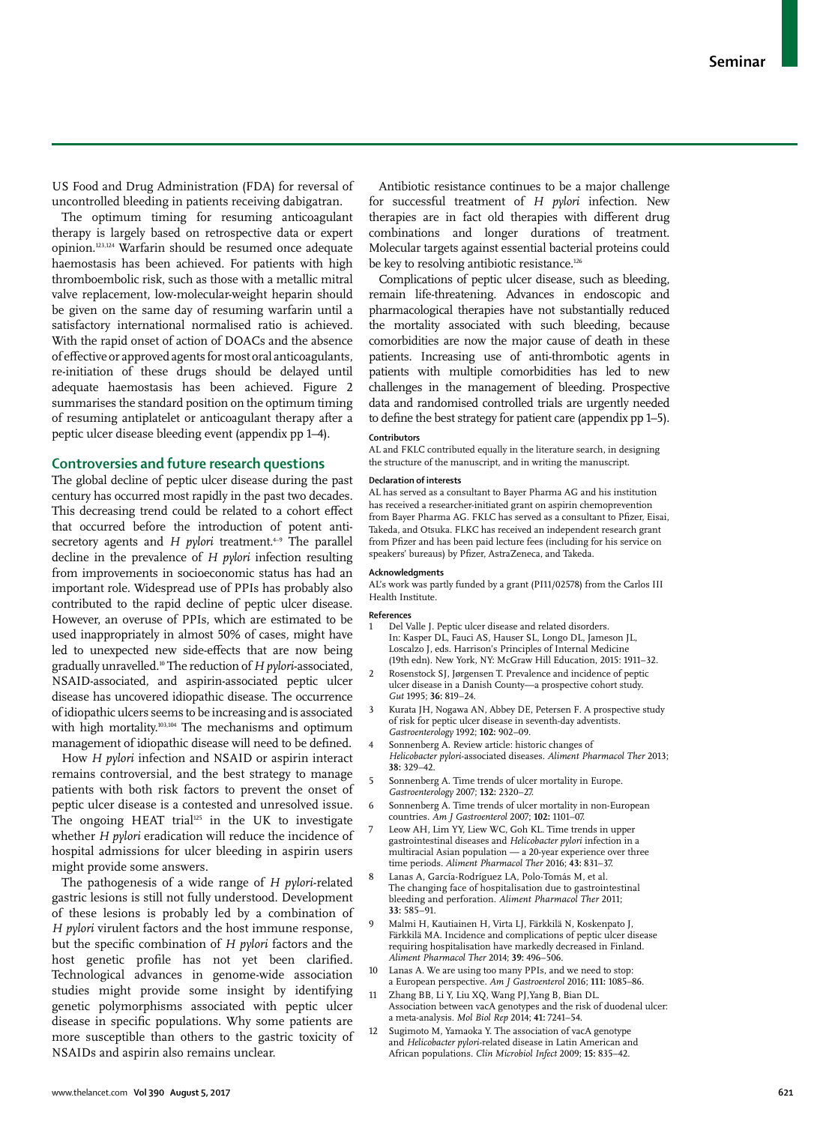US Food and Drug Administration (FDA) for reversal of uncontrolled bleeding in patients receiving dabigatran.

The optimum timing for resuming anticoagulant therapy is largely based on retrospective data or expert opinion.123,124 Warfarin should be resumed once adequate haemostasis has been achieved. For patients with high thromboembolic risk, such as those with a metallic mitral valve replacement, low-molecular-weight heparin should be given on the same day of resuming warfarin until a satisfactory international normalised ratio is achieved. With the rapid onset of action of DOACs and the absence of effective or approved agents for most oral anticoagulants, re-initiation of these drugs should be delayed until adequate haemostasis has been achieved. Figure 2 summarises the standard position on the optimum timing of resuming antiplatelet or anticoagulant therapy after a peptic ulcer disease bleeding event (appendix pp 1–4).

# **Controversies and future research questions**

The global decline of peptic ulcer disease during the past century has occurred most rapidly in the past two decades. This decreasing trend could be related to a cohort effect that occurred before the introduction of potent antisecretory agents and *H pylori* treatment.<sup>4→9</sup> The parallel decline in the prevalence of *H pylori* infection resulting from improvements in socioeconomic status has had an important role. Widespread use of PPIs has probably also contributed to the rapid decline of peptic ulcer disease. However, an overuse of PPIs, which are estimated to be used inappropriately in almost 50% of cases, might have led to unexpected new side-effects that are now being gradually unravelled.10 The reduction of *H pylori*-associated, NSAID-associated, and aspirin-associated peptic ulcer disease has uncovered idiopathic disease. The occurrence of idiopathic ulcers seems to be increasing and is associated with high mortality.<sup>103,104</sup> The mechanisms and optimum management of idiopathic disease will need to be defined.

How *H pylori* infection and NSAID or aspirin interact remains controversial, and the best strategy to manage patients with both risk factors to prevent the onset of peptic ulcer disease is a contested and unresolved issue. The ongoing HEAT trial<sup>125</sup> in the UK to investigate whether *H pylori* eradication will reduce the incidence of hospital admissions for ulcer bleeding in aspirin users might provide some answers.

The pathogenesis of a wide range of *H pylori*-related gastric lesions is still not fully understood. Development of these lesions is probably led by a combination of *H pylori* virulent factors and the host immune response, but the specific combination of *H pylori* factors and the host genetic profile has not yet been clarified. Technological advances in genome-wide association studies might provide some insight by identifying genetic polymorphisms associated with peptic ulcer disease in specific populations. Why some patients are more susceptible than others to the gastric toxicity of NSAIDs and aspirin also remains unclear.

Antibiotic resistance continues to be a major challenge for successful treatment of *H pylori* infection. New therapies are in fact old therapies with different drug combinations and longer durations of treatment. Molecular targets against essential bacterial proteins could be key to resolving antibiotic resistance.<sup>126</sup>

Complications of peptic ulcer disease, such as bleeding, remain life-threatening. Advances in endoscopic and pharmacological therapies have not substantially reduced the mortality associated with such bleeding, because comorbidities are now the major cause of death in these patients. Increasing use of anti-thrombotic agents in patients with multiple comorbidities has led to new challenges in the management of bleeding. Prospective data and randomised controlled trials are urgently needed to define the best strategy for patient care (appendix pp 1–5).

## **Contributors**

AL and FKLC contributed equally in the literature search, in designing the structure of the manuscript, and in writing the manuscript.

#### **Declaration of interests**

AL has served as a consultant to Bayer Pharma AG and his institution has received a researcher-initiated grant on aspirin chemoprevention from Bayer Pharma AG. FKLC has served as a consultant to Pfizer, Eisai, Takeda, and Otsuka. FLKC has received an independent research grant from Pfizer and has been paid lecture fees (including for his service on speakers' bureaus) by Pfizer, AstraZeneca, and Takeda.

#### **Acknowledgments**

AL's work was partly funded by a grant (PI11/02578) from the Carlos III Health Institute.

#### **References**

- 1 Del Valle J. Peptic ulcer disease and related disorders. In: Kasper DL, Fauci AS, Hauser SL, Longo DL, Jameson JL, Loscalzo J, eds. Harrison's Principles of Internal Medicine (19th edn). New York, NY: McGraw Hill Education, 2015: 1911−32.
- 2 Rosenstock SJ, Jørgensen T. Prevalence and incidence of peptic ulcer disease in a Danish County—a prospective cohort study. *Gut* 1995; **36:** 819−24.
- 3 Kurata JH, Nogawa AN, Abbey DE, Petersen F. A prospective study of risk for peptic ulcer disease in seventh-day adventists. *Gastroenterology* 1992; **102:** 902−09.
- Sonnenberg A. Review article: historic changes of *Helicobacter pylori*-associated diseases. *Aliment Pharmacol Ther* 2013; **38:** 329−42.
- 5 Sonnenberg A. Time trends of ulcer mortality in Europe. *Gastroenterology* 2007; **132:** 2320−27.
- 6 Sonnenberg A. Time trends of ulcer mortality in non-European countries. *Am J Gastroenterol* 2007; **102:** 1101−07.
- Leow AH, Lim YY, Liew WC, Goh KL. Time trends in upper gastrointestinal diseases and *Helicobacter pylori* infection in a multiracial Asian population — a 20-year experience over three time periods. *Aliment Pharmacol Ther* 2016; **43:** 831−37.
- Lanas A, García-Rodríguez LA, Polo-Tomás M, et al. The changing face of hospitalisation due to gastrointestinal bleeding and perforation. *Aliment Pharmacol Ther* 2011; **33:** 585−91.
- 9 Malmi H, Kautiainen H, Virta LJ, Färkkilä N, Koskenpato J, Färkkilä MA. Incidence and complications of peptic ulcer disease requiring hospitalisation have markedly decreased in Finland. *Aliment Pharmacol Ther* 2014; **39:** 496−506.
- Lanas A. We are using too many PPIs, and we need to stop: a European perspective. *Am J Gastroenterol* 2016; **111:** 1085–86.
- 11 Zhang BB, Li Y, Liu XQ, Wang PJ,Yang B, Bian DL. Association between vacA genotypes and the risk of duodenal ulcer: a meta-analysis. *Mol Biol Rep* 2014; **41:** 7241−54.
- Sugimoto M, Yamaoka Y. The association of vacA genotype and *Helicobacter pylori*-related disease in Latin American and African populations. *Clin Microbiol Infect* 2009; **15:** 835−42.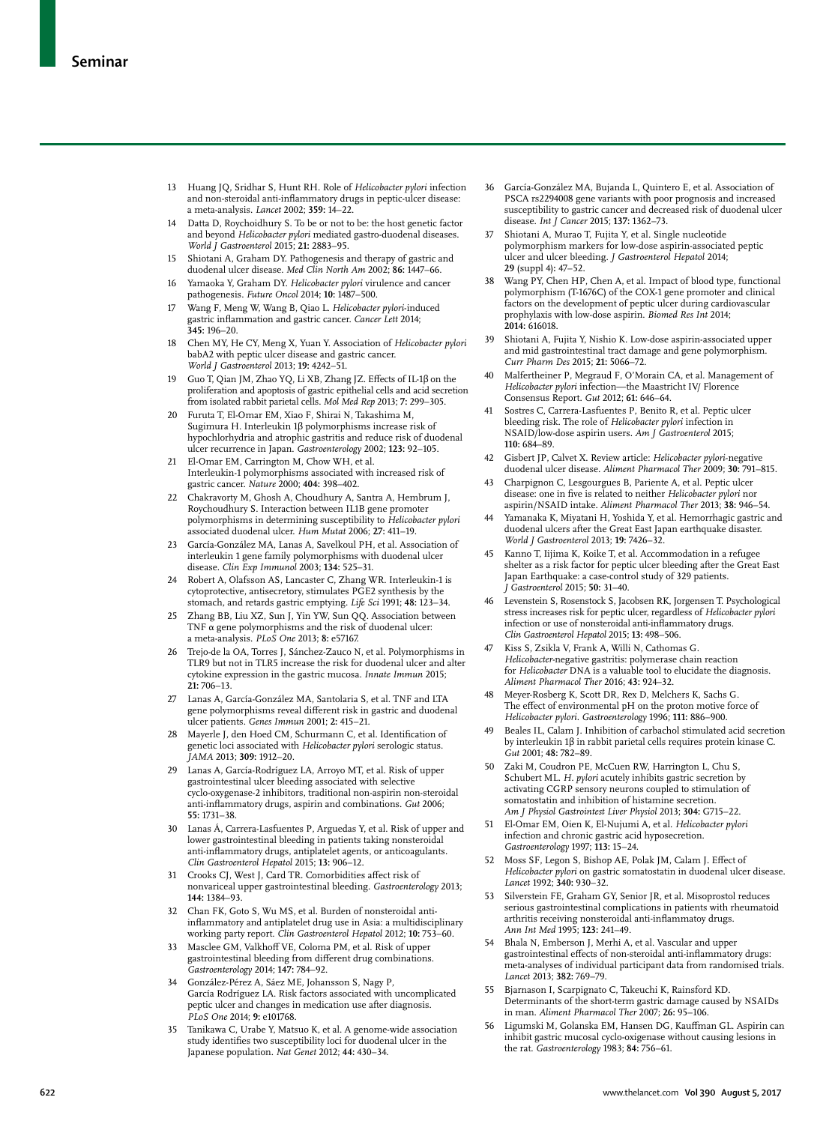- 13 Huang JQ, Sridhar S, Hunt RH. Role of *Helicobacter pylori* infection and non-steroidal anti-inflammatory drugs in peptic-ulcer disease: a meta-analysis. *Lancet* 2002; **359:** 14−22.
- 14 Datta D, Roychoidhury S. To be or not to be: the host genetic factor and beyond *Helicobacter pylori* mediated gastro-duodenal diseases. *World J Gastroenterol* 2015; **21:** 2883−95.
- 15 Shiotani A, Graham DY. Pathogenesis and therapy of gastric and duodenal ulcer disease. *Med Clin North Am* 2002; **86:** 1447−66.
- 16 Yamaoka Y, Graham DY. *Helicobacter pylori* virulence and cancer pathogenesis. *Future Oncol* 2014; **10:** 1487−500.
- 17 Wang F, Meng W, Wang B, Qiao L. *Helicobacter pylori*-induced gastric inflammation and gastric cancer. *Cancer Lett* 2014; **345:** 196−20.
- 18 Chen MY, He CY, Meng X, Yuan Y. Association of *Helicobacter pylori* babA2 with peptic ulcer disease and gastric cancer. *World J Gastroenterol* 2013; **19:** 4242−51.
- 19 Guo T, Qian JM, Zhao YQ, Li XB, Zhang JZ. Effects of IL-1β on the proliferation and apoptosis of gastric epithelial cells and acid secretion from isolated rabbit parietal cells. *Mol Med Rep* 2013; **7:** 299−305.
- 20 Furuta T, El-Omar EM, Xiao F, Shirai N, Takashima M, Sugimura H. Interleukin 1β polymorphisms increase risk of hypochlorhydria and atrophic gastritis and reduce risk of duodenal ulcer recurrence in Japan. *Gastroenterology* 2002; **123:** 92−105.
- El-Omar EM, Carrington M, Chow WH, et al. Interleukin-1 polymorphisms associated with increased risk of gastric cancer. *Nature* 2000; **404:** 398−402.
- 22 Chakravorty M, Ghosh A, Choudhury A, Santra A, Hembrum J, Roychoudhury S. Interaction between IL1B gene promoter polymorphisms in determining susceptibility to *Helicobacter pylori*  associated duodenal ulcer. *Hum Mutat* 2006; **27:** 411−19.
- 23 García-González MA, Lanas A, Savelkoul PH, et al. Association of interleukin 1 gene family polymorphisms with duodenal ulcer disease. *Clin Exp Immunol* 2003; **134:** 525–31.
- Robert A, Olafsson AS, Lancaster C, Zhang WR. Interleukin-1 is cytoprotective, antisecretory, stimulates PGE2 synthesis by the stomach, and retards gastric emptying. *Life Sci* 1991; **48:** 123−34.
- 25 Zhang BB, Liu XZ, Sun J, Yin YW, Sun QQ. Association between TNF α gene polymorphisms and the risk of duodenal ulcer: a meta-analysis. *PLoS One* 2013; **8:** e57167.
- 26 Trejo-de la OA, Torres J, Sánchez-Zauco N, et al. Polymorphisms in TLR9 but not in TLR5 increase the risk for duodenal ulcer and alter cytokine expression in the gastric mucosa. *Innate Immun* 2015; **21:** 706−13.
- 27 Lanas A, García-González MA, Santolaria S, et al. TNF and LTA gene polymorphisms reveal different risk in gastric and duodenal ulcer patients. *Genes Immun* 2001; **2:** 415−21.
- 28 Mayerle J, den Hoed CM, Schurmann C, et al. Identification of genetic loci associated with *Helicobacter pylori* serologic status. *JAMA* 2013; **309:** 1912−20.
- 29 Lanas A, García-Rodríguez LA, Arroyo MT, et al. Risk of upper gastrointestinal ulcer bleeding associated with selective cyclo-oxygenase-2 inhibitors, traditional non-aspirin non-steroidal anti-inflammatory drugs, aspirin and combinations. *Gut* 2006; **55:** 1731−38.
- 30 Lanas Á, Carrera-Lasfuentes P, Arguedas Y, et al. Risk of upper and lower gastrointestinal bleeding in patients taking nonsteroidal anti-inflammatory drugs, antiplatelet agents, or anticoagulants. *Clin Gastroenterol Hepatol* 2015; **13:** 906−12.
- 31 Crooks CJ, West J, Card TR. Comorbidities affect risk of nonvariceal upper gastrointestinal bleeding. *Gastroenterology* 2013; **144:** 1384−93.
- 32 Chan FK, Goto S, Wu MS, et al. Burden of nonsteroidal antiinflammatory and antiplatelet drug use in Asia: a multidisciplinary working party report. *Clin Gastroenterol Hepatol* 2012; **10:** 753−60.
- 33 Masclee GM, Valkhoff VE, Coloma PM, et al. Risk of upper gastrointestinal bleeding from different drug combinations. *Gastroenterology* 2014; **147:** 784−92.
- 34 González-Pérez A, Sáez ME, Johansson S, Nagy P, García Rodríguez LA. Risk factors associated with uncomplicated peptic ulcer and changes in medication use after diagnosis. *PLoS One* 2014; **9:** e101768.
- 35 Tanikawa C, Urabe Y, Matsuo K, et al. A genome-wide association study identifies two susceptibility loci for duodenal ulcer in the Japanese population. *Nat Genet* 2012; **44:** 430−34.
- 36 García-González MA, Bujanda L, Quintero E, et al. Association of PSCA rs2294008 gene variants with poor prognosis and increased susceptibility to gastric cancer and decreased risk of duodenal ulcer disease. *Int J Cancer* 2015; **137:** 1362−73.
- 37 Shiotani A, Murao T, Fujita Y, et al. Single nucleotide polymorphism markers for low-dose aspirin-associated peptic ulcer and ulcer bleeding. *J Gastroenterol Hepatol* 2014; **29** (suppl 4)**:** 47−52.
- Wang PY, Chen HP, Chen A, et al. Impact of blood type, functional polymorphism (T-1676C) of the COX-1 gene promoter and clinical factors on the development of peptic ulcer during cardiovascular prophylaxis with low-dose aspirin. *Biomed Res Int* 2014; **2014:** 616018.
- 39 Shiotani A, Fujita Y, Nishio K. Low-dose aspirin-associated upper and mid gastrointestinal tract damage and gene polymorphism. *Curr Pharm Des* 2015; **21:** 5066−72.
- 40 Malfertheiner P, Megraud F, O'Morain CA, et al. Management of *Helicobacter pylori* infection—the Maastricht IV/ Florence Consensus Report. *Gut* 2012; **61:** 646−64.
- Sostres C, Carrera-Lasfuentes P, Benito R, et al. Peptic ulcer bleeding risk. The role of *Helicobacter pylori* infection in NSAID/low-dose aspirin users. *Am J Gastroenterol* 2015; **110:** 684−89.
- 42 Gisbert JP, Calvet X. Review article: *Helicobacter pylori*-negative duodenal ulcer disease. *Aliment Pharmacol Ther* 2009; **30:** 791−815.
- 43 Charpignon C, Lesgourgues B, Pariente A, et al. Peptic ulcer disease: one in five is related to neither *Helicobacter pylori* nor aspirin/NSAID intake. *Aliment Pharmacol Ther* 2013; **38:** 946−54.
- Yamanaka K, Miyatani H, Yoshida Y, et al. Hemorrhagic gastric and duodenal ulcers after the Great East Japan earthquake disaster. *World J Gastroenterol* 2013; **19:** 7426−32.
- 45 Kanno T, Iijima K, Koike T, et al. Accommodation in a refugee shelter as a risk factor for peptic ulcer bleeding after the Great East Japan Earthquake: a case-control study of 329 patients. *J Gastroenterol* 2015; **50:** 31−40.
- 46 Levenstein S, Rosenstock S, Jacobsen RK, Jorgensen T. Psychological stress increases risk for peptic ulcer, regardless of *Helicobacter pylori* infection or use of nonsteroidal anti-inflammatory drugs. *Clin Gastroenterol Hepatol* 2015; **13:** 498−506.
- 47 Kiss S, Zsikla V, Frank A, Willi N, Cathomas G. *Helicobacter-*negative gastritis: polymerase chain reaction for *Helicobacter* DNA is a valuable tool to elucidate the diagnosis. *Aliment Pharmacol Ther* 2016; **43:** 924–32.
- 48 Meyer-Rosberg K, Scott DR, Rex D, Melchers K, Sachs G. The effect of environmental pH on the proton motive force of *Helicobacter pylori*. *Gastroenterology* 1996; **111:** 886−900.
- Beales IL, Calam J. Inhibition of carbachol stimulated acid secretion by interleukin 1β in rabbit parietal cells requires protein kinase C. *Gut* 2001; **48:** 782−89.
- 50 Zaki M, Coudron PE, McCuen RW, Harrington L, Chu S, Schubert ML. *H. pylori* acutely inhibits gastric secretion by activating CGRP sensory neurons coupled to stimulation of somatostatin and inhibition of histamine secretion. *Am J Physiol Gastrointest Liver Physiol* 2013; **304:** G715−22.
- 51 El-Omar EM, Oien K, El-Nujumi A, et al. *Helicobacter pylori* infection and chronic gastric acid hyposecretion. *Gastroenterology* 1997; **113:** 15−24.
- 52 Moss SF, Legon S, Bishop AE, Polak JM, Calam J. Effect of *Helicobacter pylori* on gastric somatostatin in duodenal ulcer disease. *Lancet* 1992; **340:** 930−32.
- 53 Silverstein FE, Graham GY, Senior JR, et al. Misoprostol reduces serious gastrointestinal complications in patients with rheumatoid arthritis receiving nonsteroidal anti-inflammatoy drugs. *Ann Int Med* 1995; **123:** 241−49.
- 54 Bhala N, Emberson J, Merhi A, et al. Vascular and upper gastrointestinal effects of non-steroidal anti-inflammatory drugs: meta-analyses of individual participant data from randomised trials. *Lancet* 2013; **382:** 769−79.
- 55 Bjarnason I, Scarpignato C, Takeuchi K, Rainsford KD. Determinants of the short-term gastric damage caused by NSAIDs in man. *Aliment Pharmacol Ther* 2007; **26:** 95−106.
- 56 Ligumski M, Golanska EM, Hansen DG, Kauffman GL. Aspirin can inhibit gastric mucosal cyclo-oxigenase without causing lesions in the rat. *Gastroenterology* 1983; **84:** 756−61.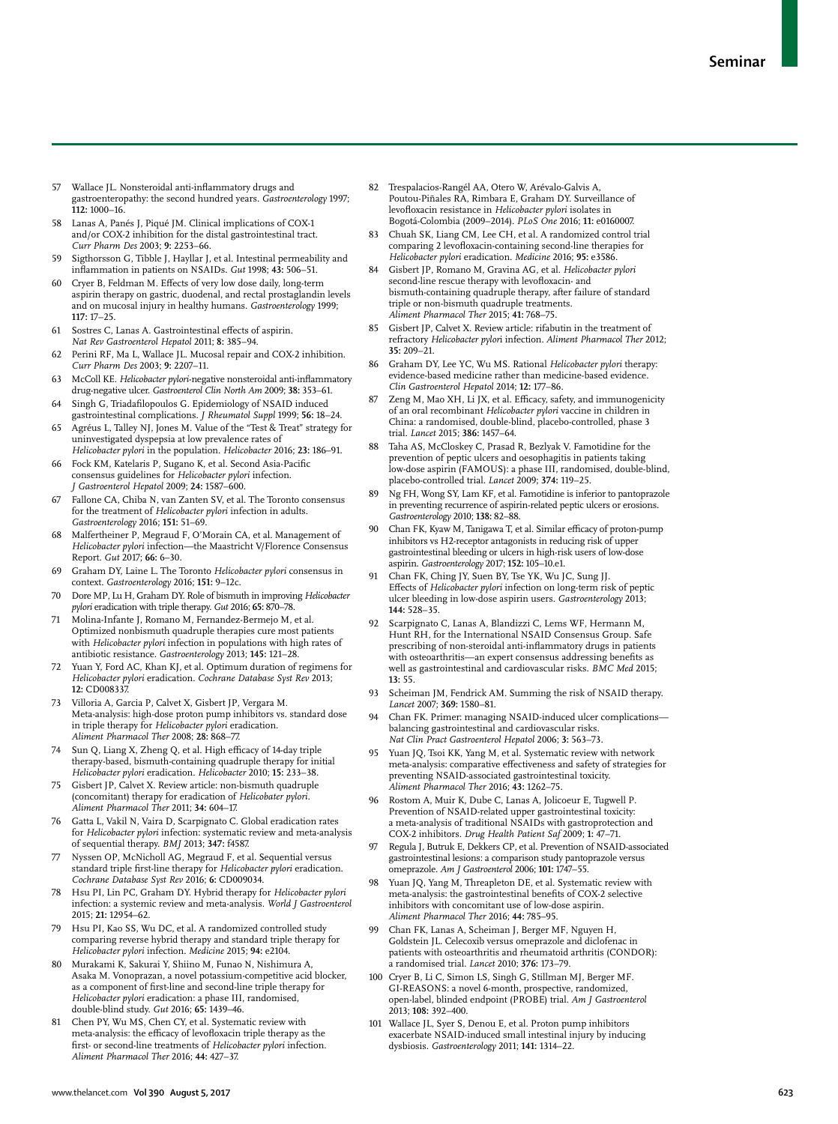- Wallace JL. Nonsteroidal anti-inflammatory drugs and gastroenteropathy: the second hundred years. *Gastroenterology* 1997; **112:** 1000−16.
- 58 Lanas A, Panés J, Piqué JM. Clinical implications of COX-1 and/or COX-2 inhibition for the distal gastrointestinal tract. *Curr Pharm Des* 2003; **9:** 2253−66.
- 59 Sigthorsson G, Tibble J, Hayllar J, et al. Intestinal permeability and inflammation in patients on NSAIDs. *Gut* 1998; **43:** 506−51.
- 60 Cryer B, Feldman M. Effects of very low dose daily, long-term aspirin therapy on gastric, duodenal, and rectal prostaglandin levels and on mucosal injury in healthy humans. *Gastroenterology* 1999; **117:** 17−25.
- 61 Sostres C, Lanas A. Gastrointestinal effects of aspirin. *Nat Rev Gastroenterol Hepatol* 2011; **8:** 385−94.
- Perini RF, Ma L, Wallace JL. Mucosal repair and COX-2 inhibition. *Curr Pharm Des* 2003; **9:** 2207−11.
- 63 McColl KE. *Helicobacter pylori*-negative nonsteroidal anti-inflammatory drug-negative ulcer. *Gastroenterol Clin North Am* 2009; **38:** 353−61.
- 64 Singh G, Triadafilopoulos G. Epidemiology of NSAID induced gastrointestinal complications. *J Rheumatol Suppl* 1999; **56:** 18−24.
- 65 Agréus L, Talley NJ, Jones M. Value of the "Test & Treat" strategy for uninvestigated dyspepsia at low prevalence rates of *Helicobacter pylori* in the population. *Helicobacter* 2016; **23:** 186–91.
- Fock KM, Katelaris P, Sugano K, et al. Second Asia-Pacific consensus guidelines for *Helicobacter pylori* infection. *J Gastroenterol Hepatol* 2009; **24:** 1587−600.
- 67 Fallone CA, Chiba N, van Zanten SV, et al. The Toronto consensus for the treatment of *Helicobacter pylori* infection in adults. *Gastroenterology* 2016; **151:** 51−69.
- Malfertheiner P, Megraud F, O'Morain CA, et al. Management of *Helicobacter pylori* infection—the Maastricht V/Florence Consensus Report. *Gut* 2017; **66:** 6–30.
- 69 Graham DY, Laine L. The Toronto *Helicobacter pylori* consensus in context. *Gastroenterology* 2016; **151:** 9−12c.
- 70 Dore MP, Lu H, Graham DY. Role of bismuth in improving *Helicobacter pylori* eradication with triple therapy. *Gut* 2016; **65:** 870−78.
- 71 Molina-Infante J, Romano M, Fernandez-Bermejo M, et al. Optimized nonbismuth quadruple therapies cure most patients with *Helicobacter pylori* infection in populations with high rates of antibiotic resistance. *Gastroenterology* 2013; **145:** 121−28.
- 72 Yuan Y, Ford AC, Khan KJ, et al. Optimum duration of regimens for *Helicobacter pylori* eradication. *Cochrane Database Syst Rev* 2013; **12:** CD008337.
- 73 Villoria A, Garcia P, Calvet X, Gisbert JP, Vergara M. Meta-analysis: high-dose proton pump inhibitors vs. standard dose in triple therapy for *Helicobacter pylori* eradication. *Aliment Pharmacol Ther* 2008; **28:** 868−77.
- Sun O, Liang X, Zheng O, et al. High efficacy of 14-day triple therapy-based, bismuth-containing quadruple therapy for initial *Helicobacter pylori* eradication. *Helicobacter* 2010; **15:** 233−38.
- Gisbert JP, Calvet X. Review article: non-bismuth quadruple (concomitant) therapy for eradication of *Helicobater pylori. Aliment Pharmacol Ther* 2011; **34:** 604−17.
- 76 Gatta L, Vakil N, Vaira D, Scarpignato C. Global eradication rates for *Helicobacter pylori* infection: systematic review and meta-analysis of sequential therapy. *BMJ* 2013; **347:** f4587.
- 77 Nyssen OP, McNicholl AG, Megraud F, et al. Sequential versus standard triple first-line therapy for *Helicobacter pylori* eradication. *Cochrane Database Syst Rev* 2016; **6:** CD009034.
- 78 Hsu PI, Lin PC, Graham DY. Hybrid therapy for *Helicobacter pylori* infection: a systemic review and meta-analysis. *World J Gastroenterol* 2015; **21:** 12954−62.
- Hsu PI, Kao SS, Wu DC, et al. A randomized controlled study comparing reverse hybrid therapy and standard triple therapy for *Helicobacter pylori* infection. *Medicine* 2015; **94:** e2104.
- 80 Murakami K, Sakurai Y, Shiino M, Funao N, Nishimura A, Asaka M. Vonoprazan, a novel potassium-competitive acid blocker, as a component of first-line and second-line triple therapy for *Helicobacter pylori* eradication: a phase III, randomised, double-blind study. *Gut* 2016; **65:** 1439–46.
- Chen PY, Wu MS, Chen CY, et al. Systematic review with meta-analysis: the efficacy of levofloxacin triple therapy as the first- or second-line treatments of *Helicobacter pylori* infection. *Aliment Pharmacol Ther* 2016; **44:** 427−37.
- 82 Trespalacios-Rangél AA, Otero W, Arévalo-Galvis A, Poutou-Piñales RA, Rimbara E, Graham DY. Surveillance of levofloxacin resistance in *Helicobacter pylori* isolates in Bogotá-Colombia (2009−2014). *PLoS One* 2016; **11:** e0160007.
- 83 Chuah SK, Liang CM, Lee CH, et al. A randomized control trial comparing 2 levofloxacin-containing second-line therapies for *Helicobacter pylori* eradication. *Medicine* 2016; **95:** e3586.
- 84 Gisbert JP, Romano M, Gravina AG, et al. *Helicobacter pylori* second-line rescue therapy with levofloxacin- and bismuth-containing quadruple therapy, after failure of standard triple or non-bismuth quadruple treatments. *Aliment Pharmacol Ther* 2015; **41:** 768−75.
- Gisbert JP, Calvet X. Review article: rifabutin in the treatment of refractory *Helicobacter pylor*i infection. *Aliment Pharmacol Ther* 2012; **35:** 209−21.
- 86 Graham DY, Lee YC, Wu MS. Rational *Helicobacter pylori* therapy: evidence-based medicine rather than medicine-based evidence. *Clin Gastroenterol Hepatol* 2014; **12:** 177−86.
- 87 Zeng M, Mao XH, Li JX, et al. Efficacy, safety, and immunogenicity of an oral recombinant *Helicobacter pylori* vaccine in children in China: a randomised, double-blind, placebo-controlled, phase 3 trial. *Lancet* 2015; **386:** 1457−64.
- 88 Taha AS, McCloskey C, Prasad R, Bezlyak V. Famotidine for the prevention of peptic ulcers and oesophagitis in patients taking low-dose aspirin (FAMOUS): a phase III, randomised, double-blind, placebo-controlled trial. *Lancet* 2009; **374:** 119−25.
- 89 Ng FH, Wong SY, Lam KF, et al. Famotidine is inferior to pantoprazole in preventing recurrence of aspirin-related peptic ulcers or erosions. *Gastroenterology* 2010; **138:** 82−88.
- 90 Chan FK, Kyaw M, Tanigawa T, et al. Similar efficacy of proton-pump inhibitors vs H2-receptor antagonists in reducing risk of upper gastrointestinal bleeding or ulcers in high-risk users of low-dose aspirin. *Gastroenterology* 2017; **152:** 105–10.e1.
- Chan FK, Ching JY, Suen BY, Tse YK, Wu JC, Sung JJ. Effects of *Helicobacter pylori* infection on long-term risk of peptic ulcer bleeding in low-dose aspirin users. *Gastroenterology* 2013; **144:** 528−35.
- 92 Scarpignato C, Lanas A, Blandizzi C, Lems WF, Hermann M, Hunt RH, for the International NSAID Consensus Group. Safe prescribing of non-steroidal anti-inflammatory drugs in patients with osteoarthritis—an expert consensus addressing benefits as well as gastrointestinal and cardiovascular risks. *BMC Med* 2015; **13:** 55.
- 93 Scheiman JM, Fendrick AM. Summing the risk of NSAID therapy. *Lancet* 2007; **369:** 1580−81.
- 94 Chan FK. Primer: managing NSAID-induced ulcer complications balancing gastrointestinal and cardiovascular risks. *Nat Clin Pract Gastroenterol Hepatol* 2006; **3:** 563−73.
- Yuan JQ, Tsoi KK, Yang M, et al. Systematic review with network meta-analysis: comparative effectiveness and safety of strategies for preventing NSAID-associated gastrointestinal toxicity. *Aliment Pharmacol Ther* 2016; **43:** 1262−75.
- 96 Rostom A, Muir K, Dube C, Lanas A, Jolicoeur E, Tugwell P. Prevention of NSAID-related upper gastrointestinal toxicity: a meta-analysis of traditional NSAIDs with gastroprotection and COX-2 inhibitors. *Drug Health Patient Saf* 2009; **1:** 47−71.
- 97 Regula J, Butruk E, Dekkers CP, et al. Prevention of NSAID-associated gastrointestinal lesions: a comparison study pantoprazole versus omeprazole. *Am J Gastroenterol* 2006; **101:** 1747−55.
- 98 Yuan JQ, Yang M, Threapleton DE, et al. Systematic review with meta-analysis: the gastrointestinal benefits of COX-2 selective inhibitors with concomitant use of low-dose aspirin. *Aliment Pharmacol Ther* 2016; **44:** 785–95.
- 99 Chan FK, Lanas A, Scheiman J, Berger MF, Nguyen H, Goldstein JL. Celecoxib versus omeprazole and diclofenac in patients with osteoarthritis and rheumatoid arthritis (CONDOR): a randomised trial. *Lancet* 2010; **376:** 173−79.
- 100 Cryer B, Li C, Simon LS, Singh G, Stillman MJ, Berger MF. GI-REASONS: a novel 6-month, prospective, randomized, open-label, blinded endpoint (PROBE) trial. *Am J Gastroenterol*  2013; **108:** 392−400.
- 101 Wallace JL, Syer S, Denou E, et al. Proton pump inhibitors exacerbate NSAID-induced small intestinal injury by inducing dysbiosis. *Gastroenterology* 2011; **141:** 1314−22.